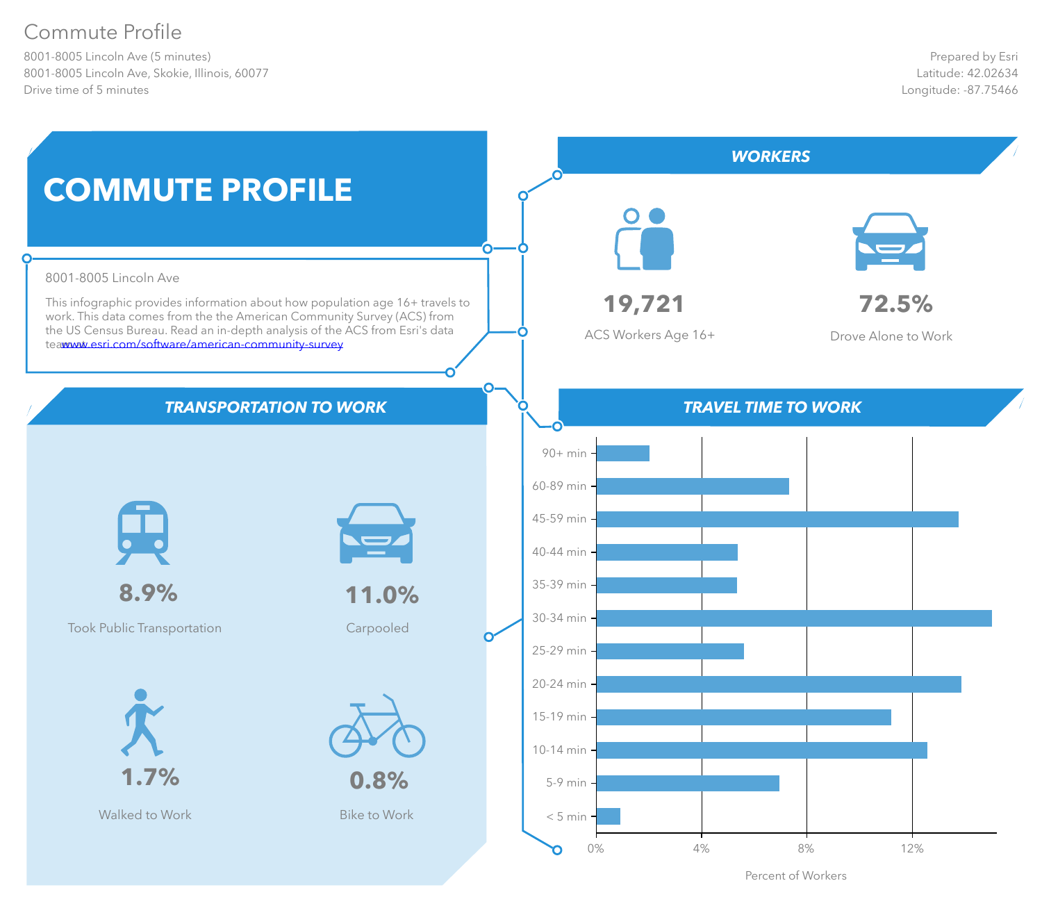# Commute Profile

8001-8005 Lincoln Ave (5 minutes) 8001-8005 Lincoln Ave, Skokie, Illinois, 60077 Drive time of 5 minutes



Percent of Workers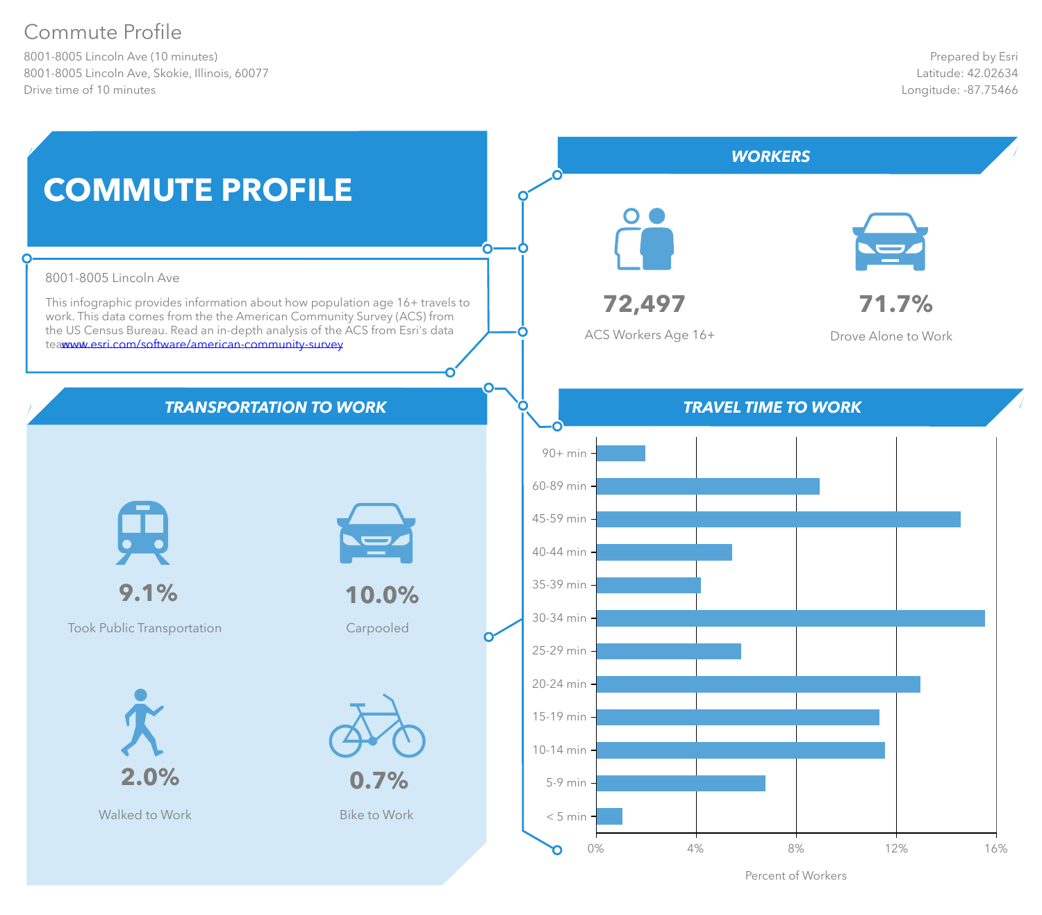# Commute Profile

8001-8005 Lincoln Ave (10 minutes) 8001-8005 Lincoln Ave, Skokie, Illinois, 60077 Drive time of 10 minutes



Percent of Workers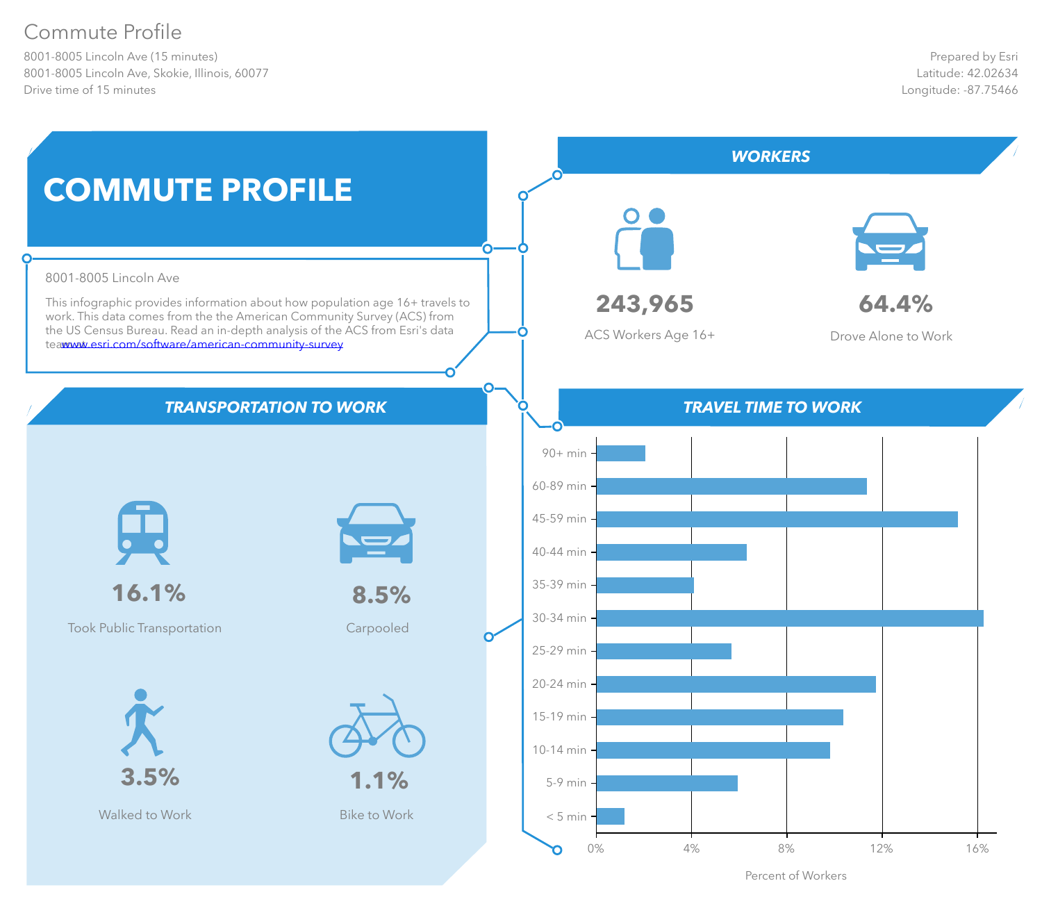# Commute Profile

8001-8005 Lincoln Ave (15 minutes) 8001-8005 Lincoln Ave, Skokie, Illinois, 60077 Drive time of 15 minutes



Percent of Workers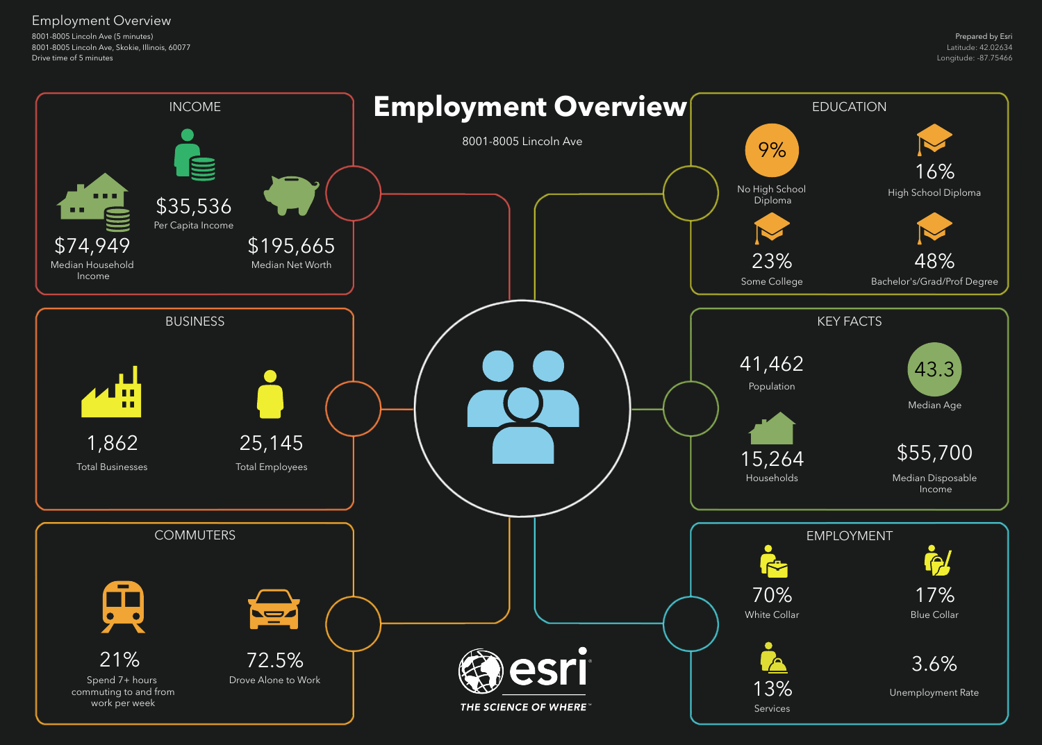8001-8005 Lincoln Ave (5 minutes) 8001-8005 Lincoln Ave, Skokie, Illinois, 60077 Drive time of 5 minutes

## Employment Overview

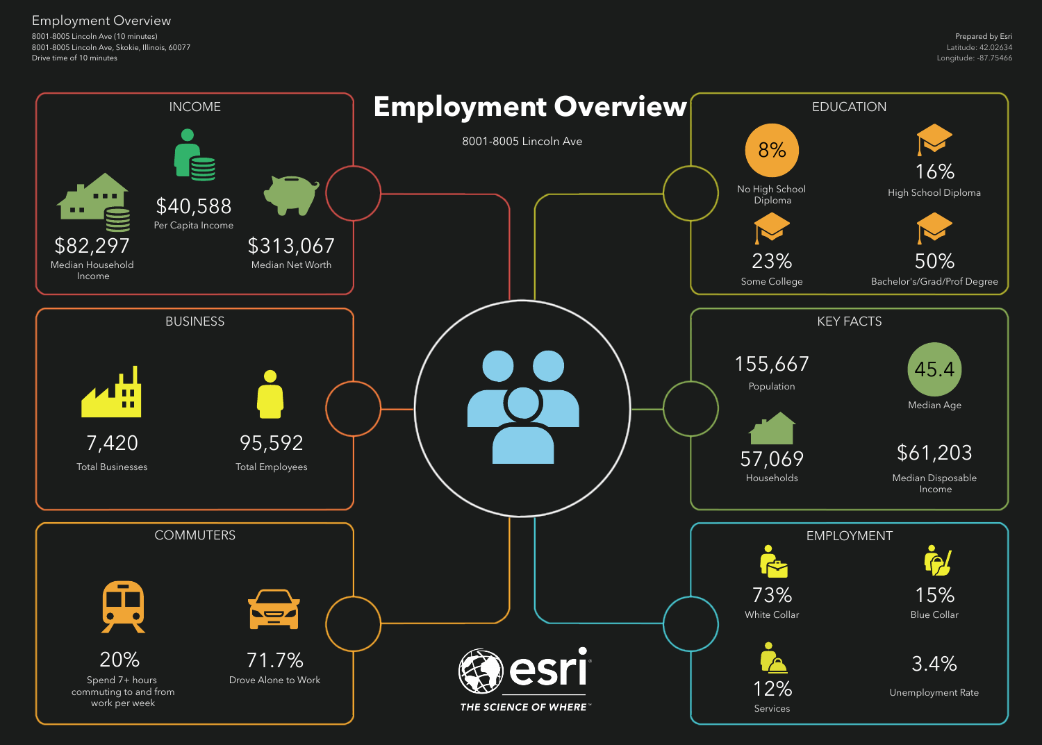8001-8005 Lincoln Ave (10 minutes) 8001-8005 Lincoln Ave, Skokie, Illinois, 60077 Drive time of 10 minutes

## Employment Overview

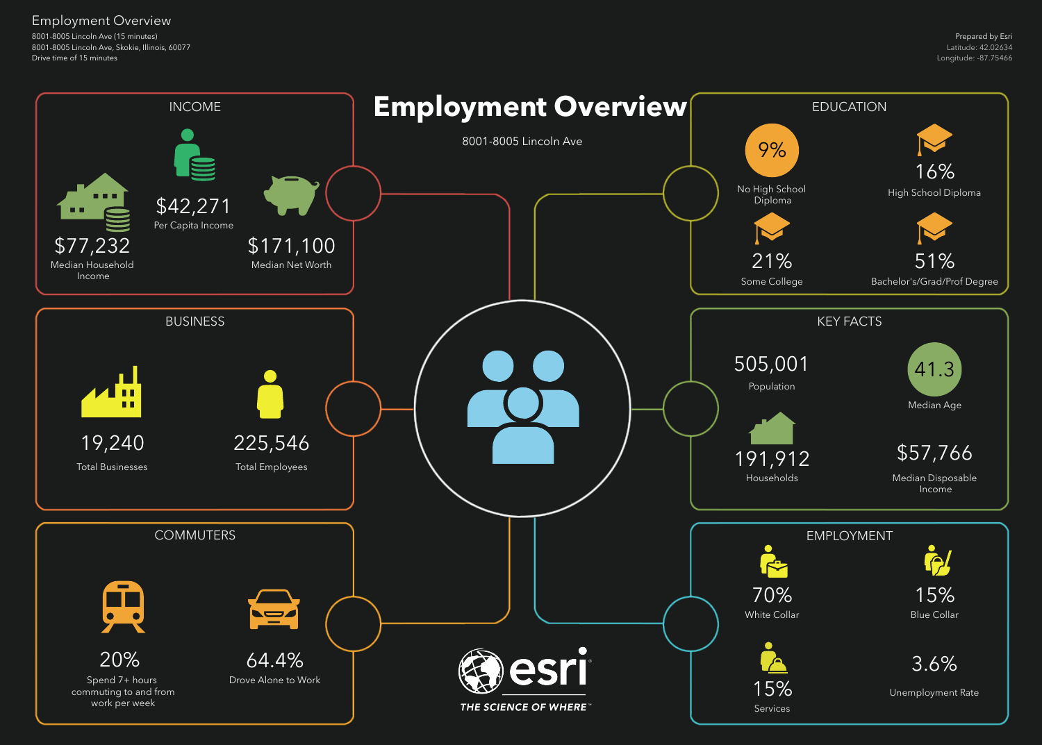8001-8005 Lincoln Ave (15 minutes) 8001-8005 Lincoln Ave, Skokie, Illinois, 60077 Drive time of 15 minutes

## Employment Overview

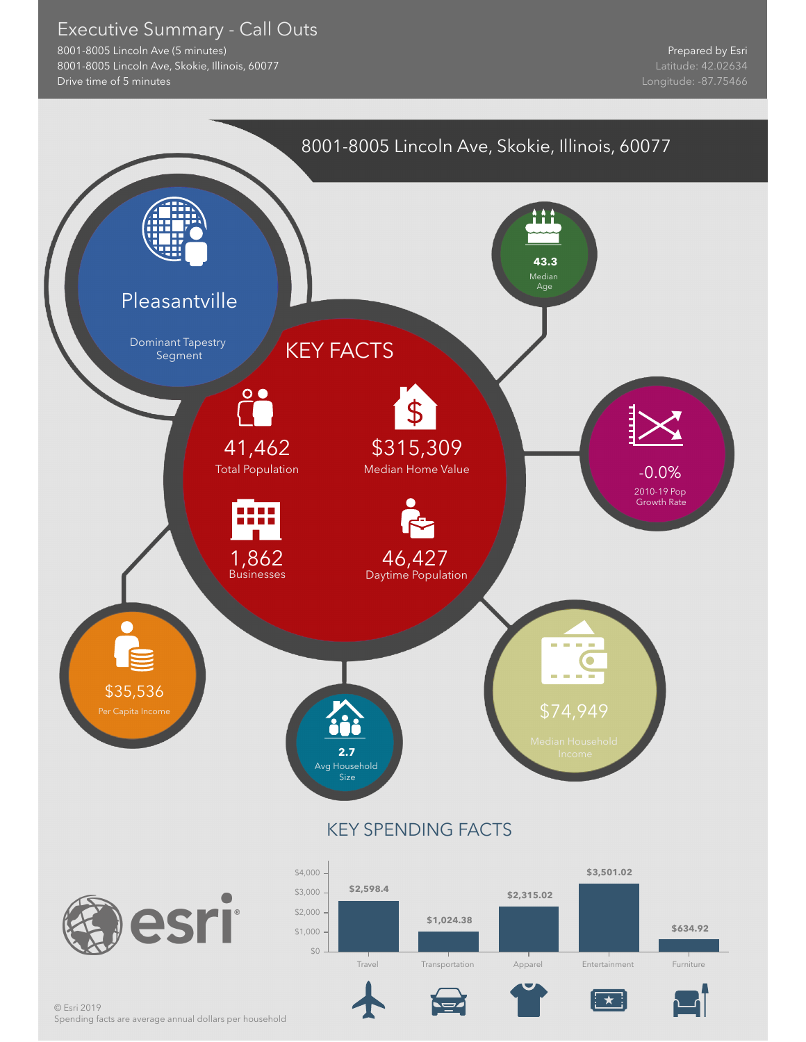### Executive Summary - Call Outs

8001-8005 Lincoln Ave (5 minutes) 8001-8005 Lincoln Ave, Skokie, Illinois, 60077 Drive time of 5 minutes



Spending facts are average annual dollars per household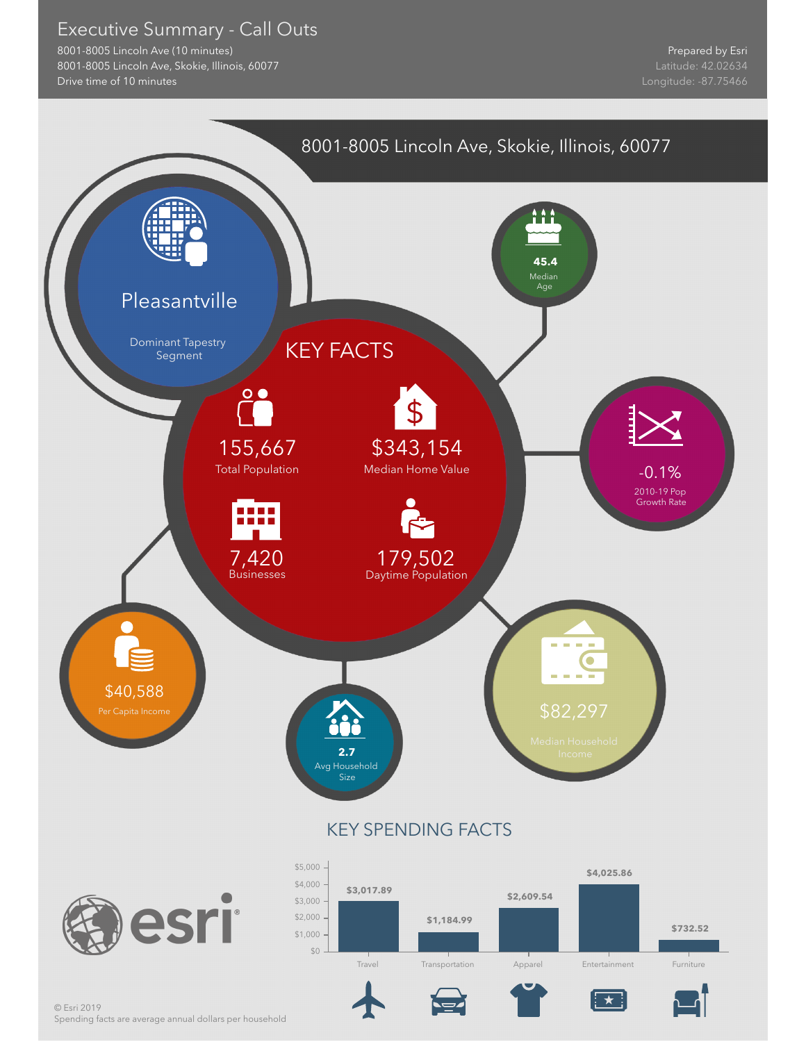### Executive Summary - Call Outs

8001-8005 Lincoln Ave (10 minutes) 8001-8005 Lincoln Ave, Skokie, Illinois, 60077 Drive time of 10 minutes

Prepared by Esri

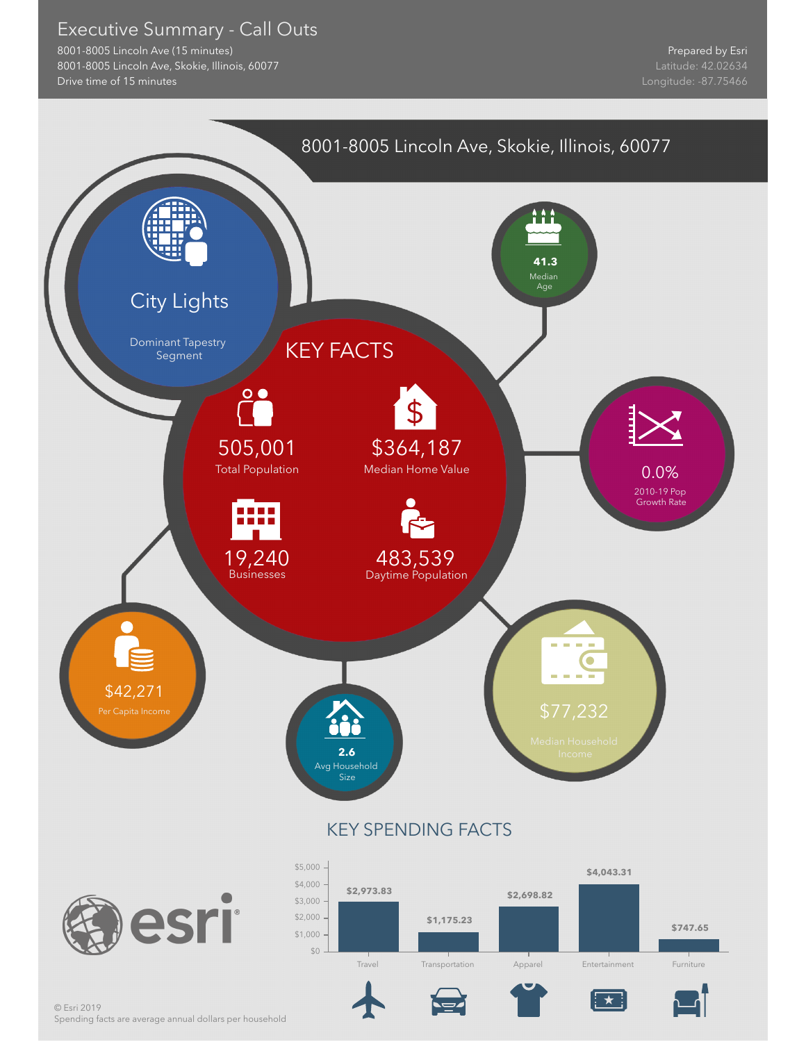### Executive Summary - Call Outs

8001-8005 Lincoln Ave (15 minutes) 8001-8005 Lincoln Ave, Skokie, Illinois, 60077 Drive time of 15 minutes

Prepared by Esri



Spending facts are average annual dollars per household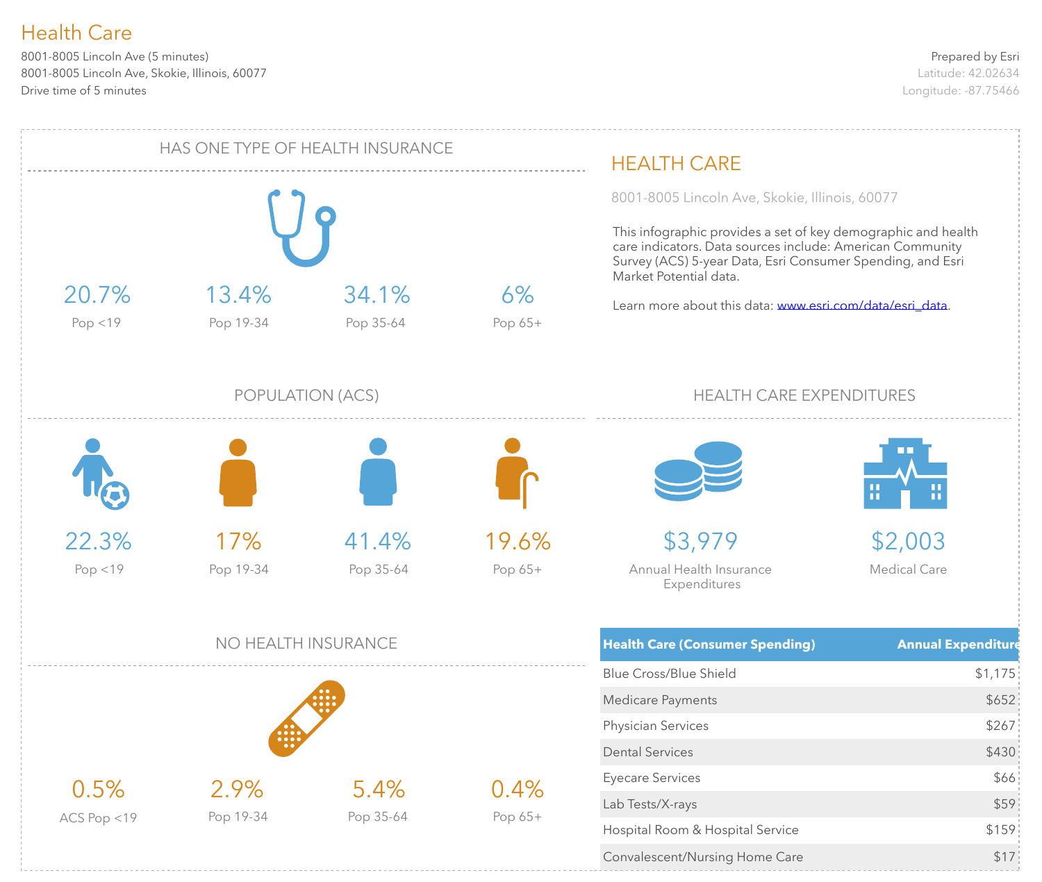8001-8005 Lincoln Ave (5 minutes) 8001-8005 Lincoln Ave, Skokie, Illinois, 60077 Drive time of 5 minutes

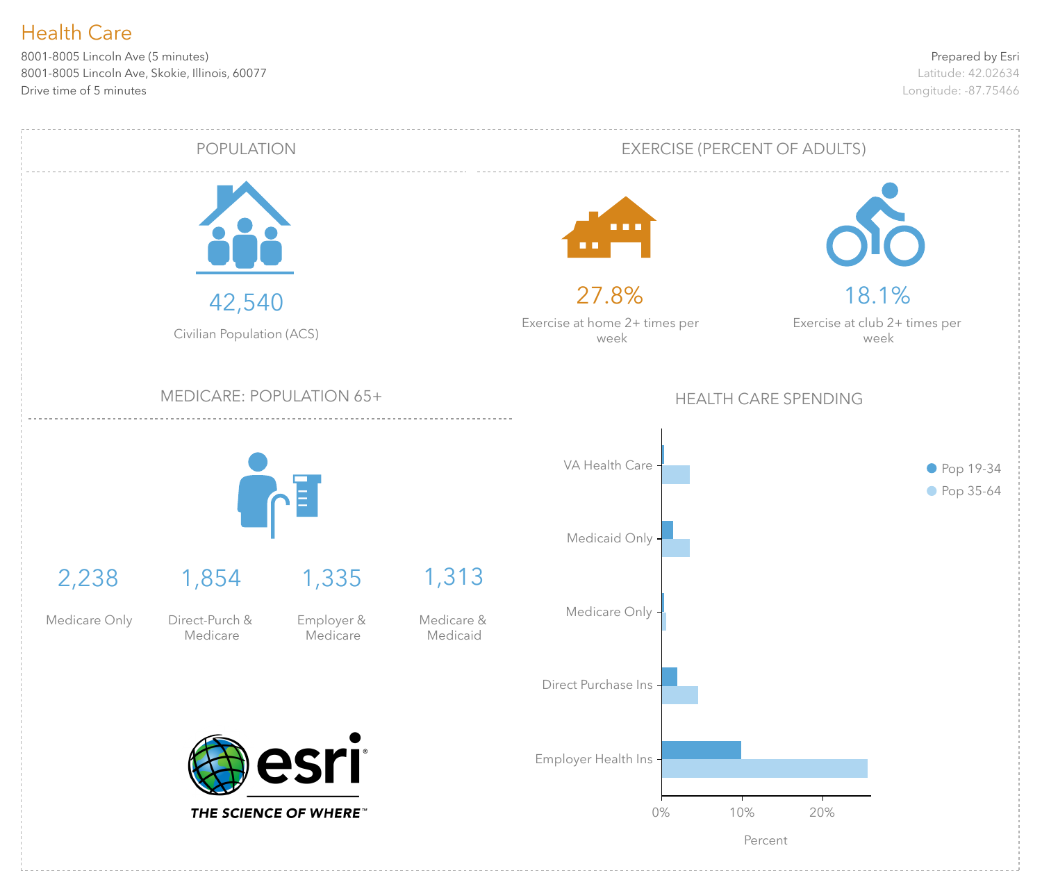8001-8005 Lincoln Ave (5 minutes) 8001-8005 Lincoln Ave, Skokie, Illinois, 60077 Drive time of 5 minutes

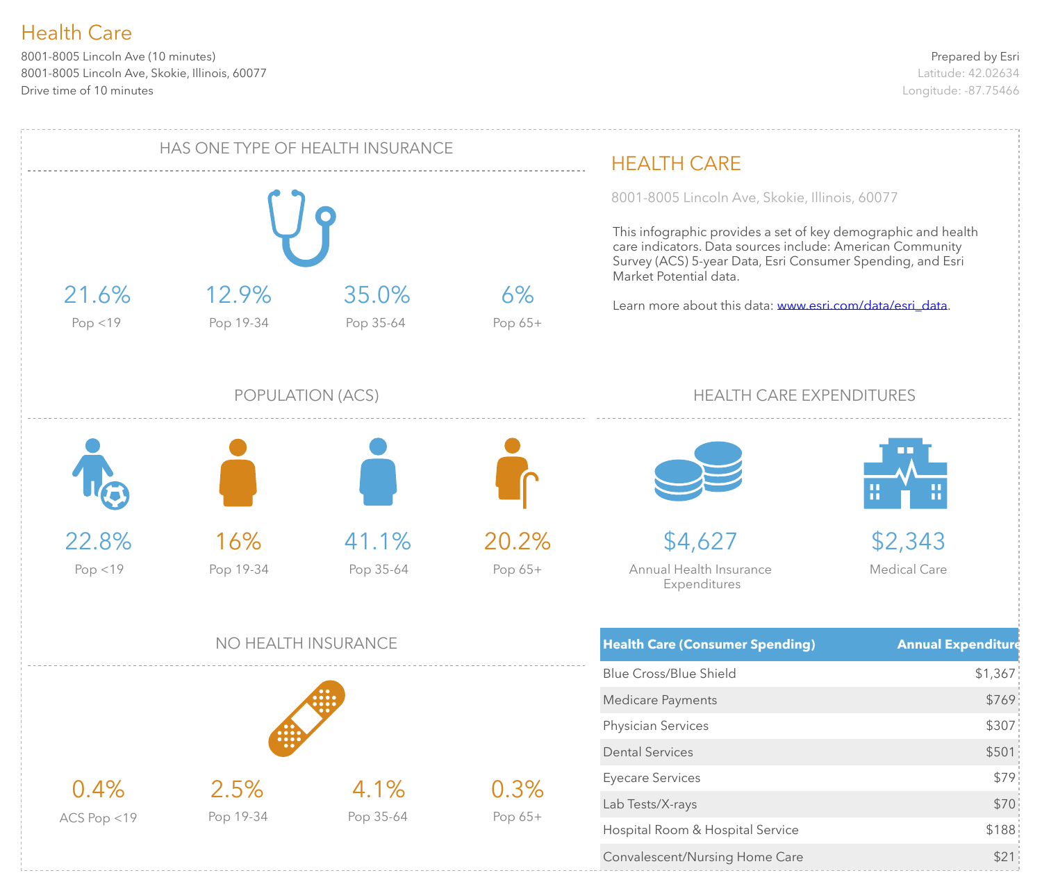8001-8005 Lincoln Ave (10 minutes) 8001-8005 Lincoln Ave, Skokie, Illinois, 60077 Drive time of 10 minutes

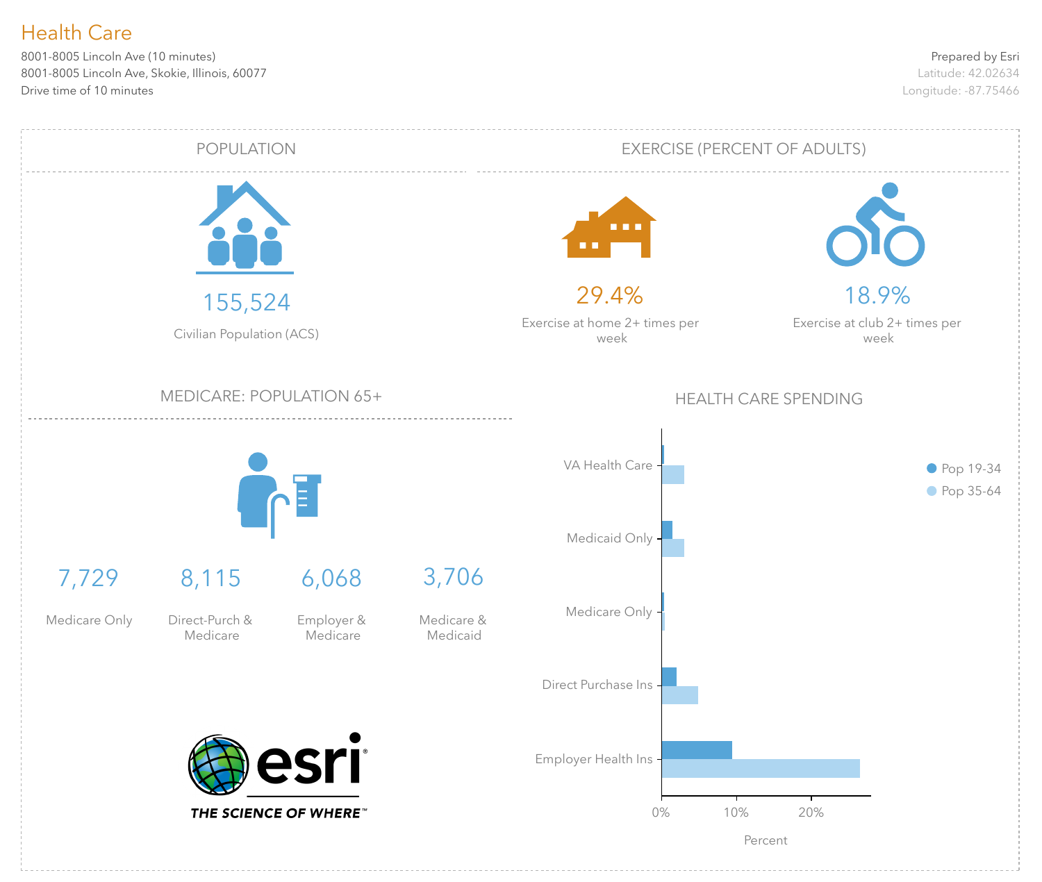8001-8005 Lincoln Ave (10 minutes) 8001-8005 Lincoln Ave, Skokie, Illinois, 60077 Drive time of 10 minutes

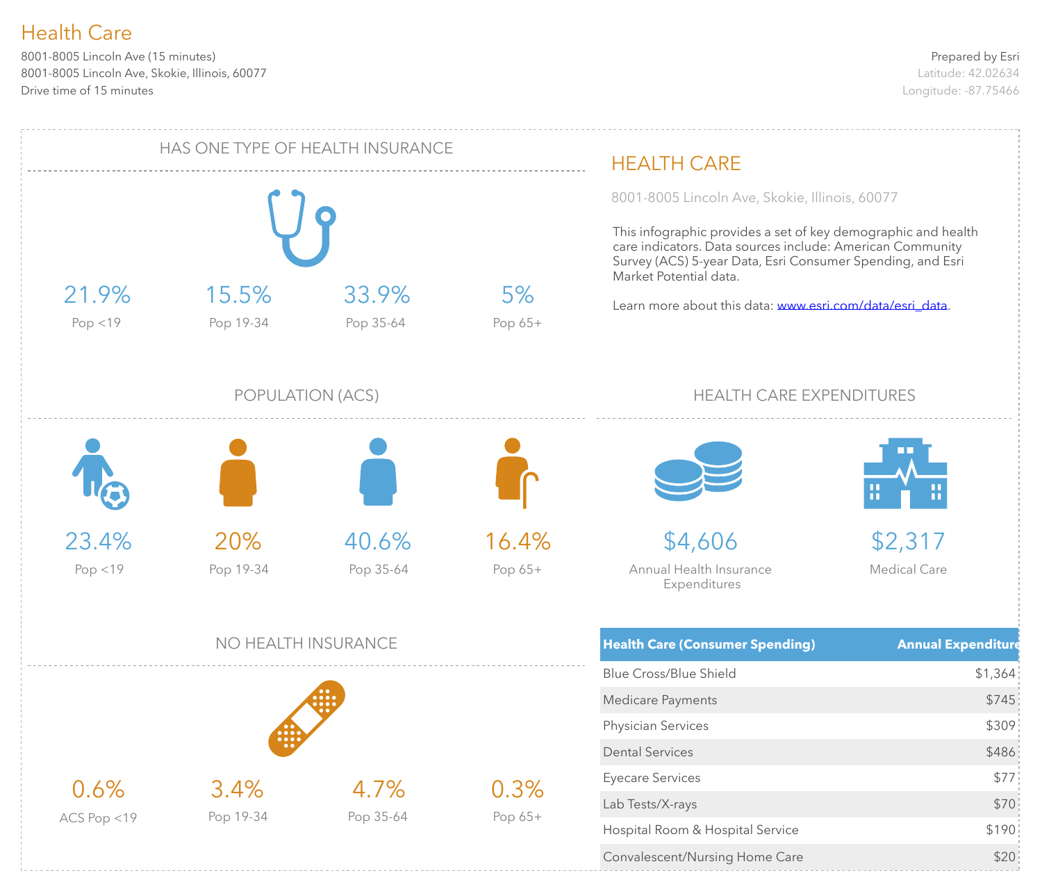8001-8005 Lincoln Ave (15 minutes) 8001-8005 Lincoln Ave, Skokie, Illinois, 60077 Drive time of 15 minutes

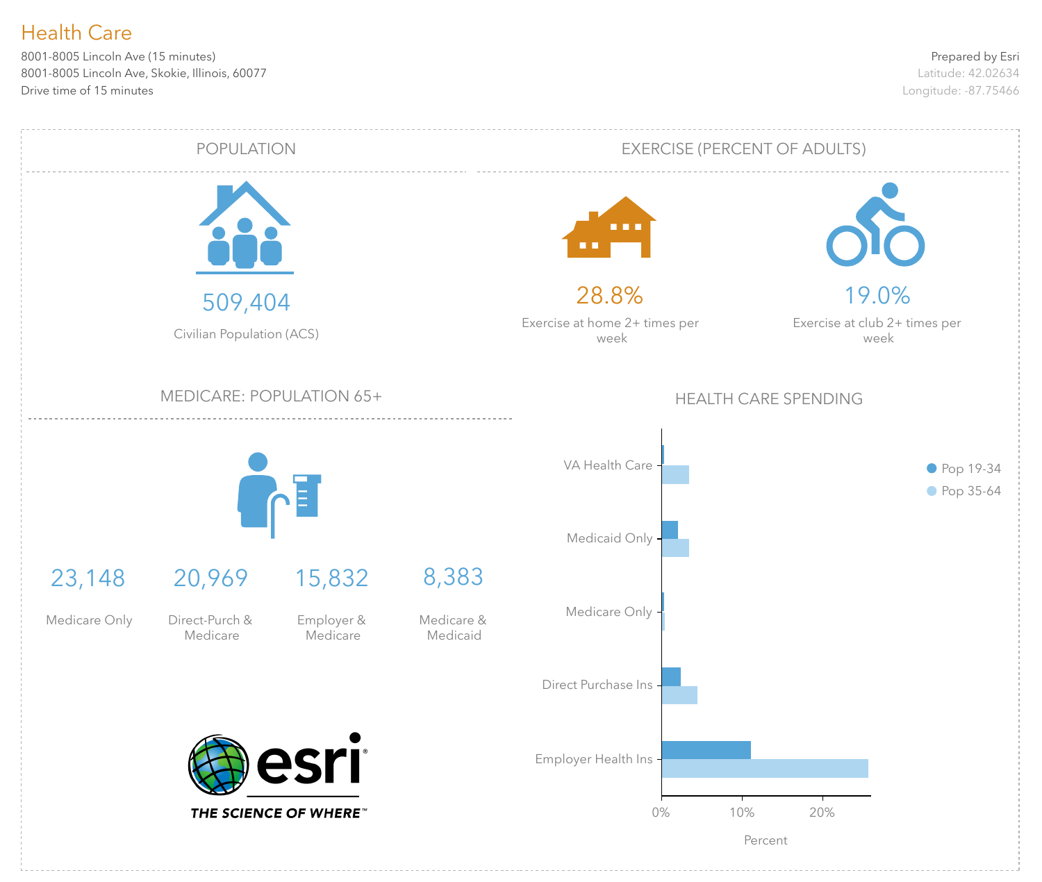8001-8005 Lincoln Ave (15 minutes) 8001-8005 Lincoln Ave, Skokie, Illinois, 60077 Drive time of 15 minutes

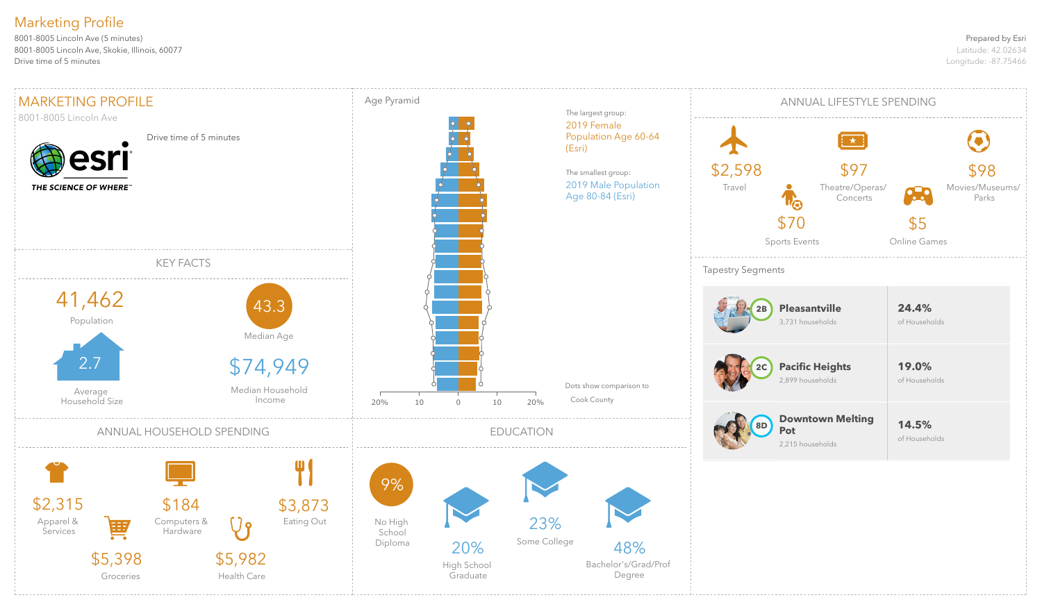#### Prepared by Esri

Latitude: 42.02634 Longitude: -87.75466

8001-8005 Lincoln Ave (5 minutes) 8001-8005 Lincoln Ave, Skokie, Illinois, 60077 Drive time of 5 minutes

## Marketing Profile

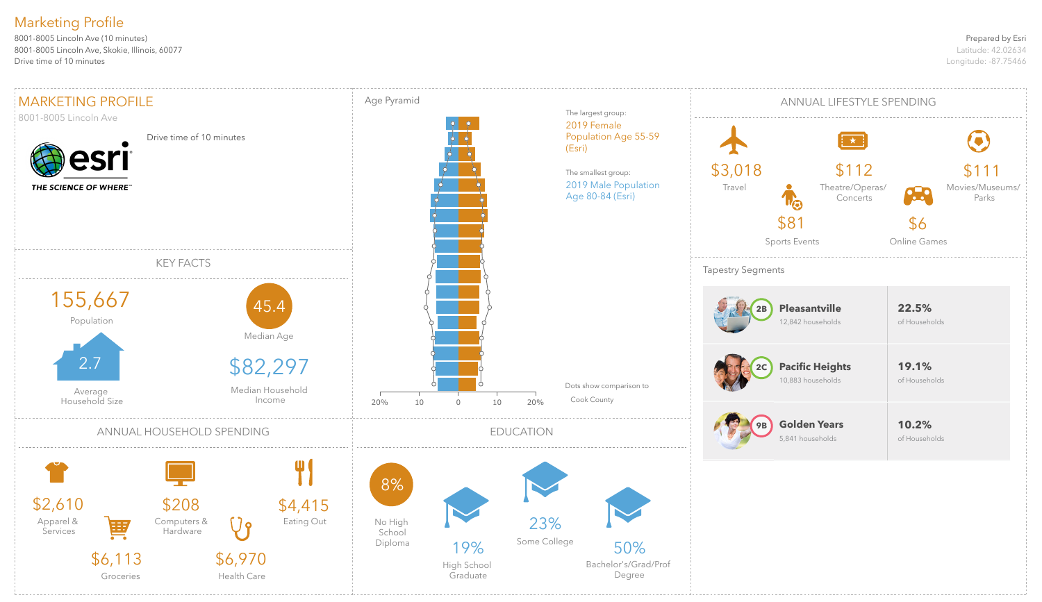#### Prepared by Esri

Latitude: 42.02634 Longitude: -87.75466

8001-8005 Lincoln Ave (10 minutes) 8001-8005 Lincoln Ave, Skokie, Illinois, 60077 Drive time of 10 minutes

## Marketing Profile

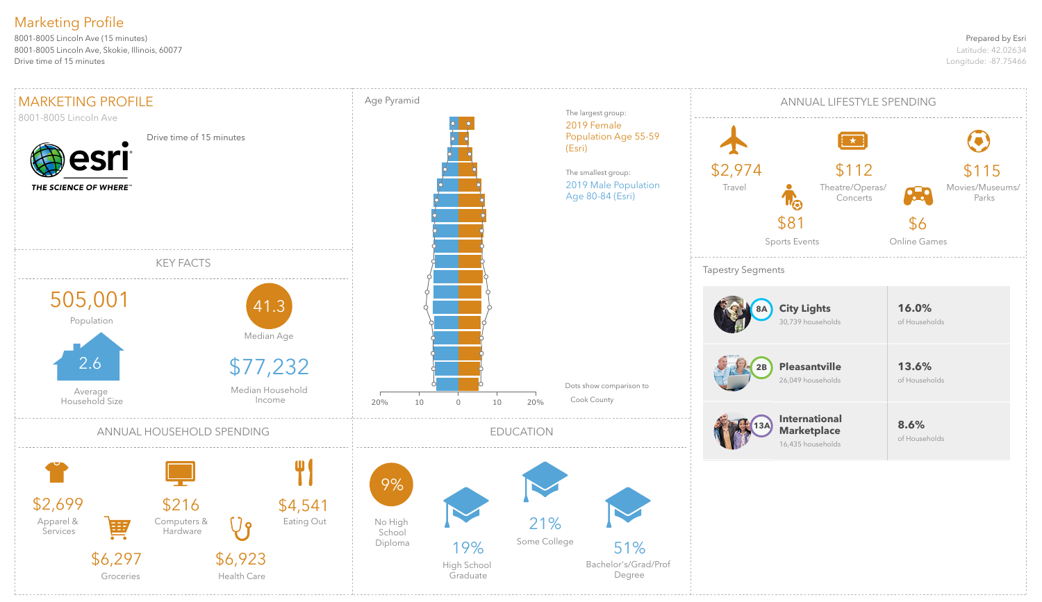#### Prepared by Esri

Latitude: 42.02634 Longitude: -87.75466

8001-8005 Lincoln Ave (15 minutes) 8001-8005 Lincoln Ave, Skokie, Illinois, 60077 Drive time of 15 minutes

## Marketing Profile

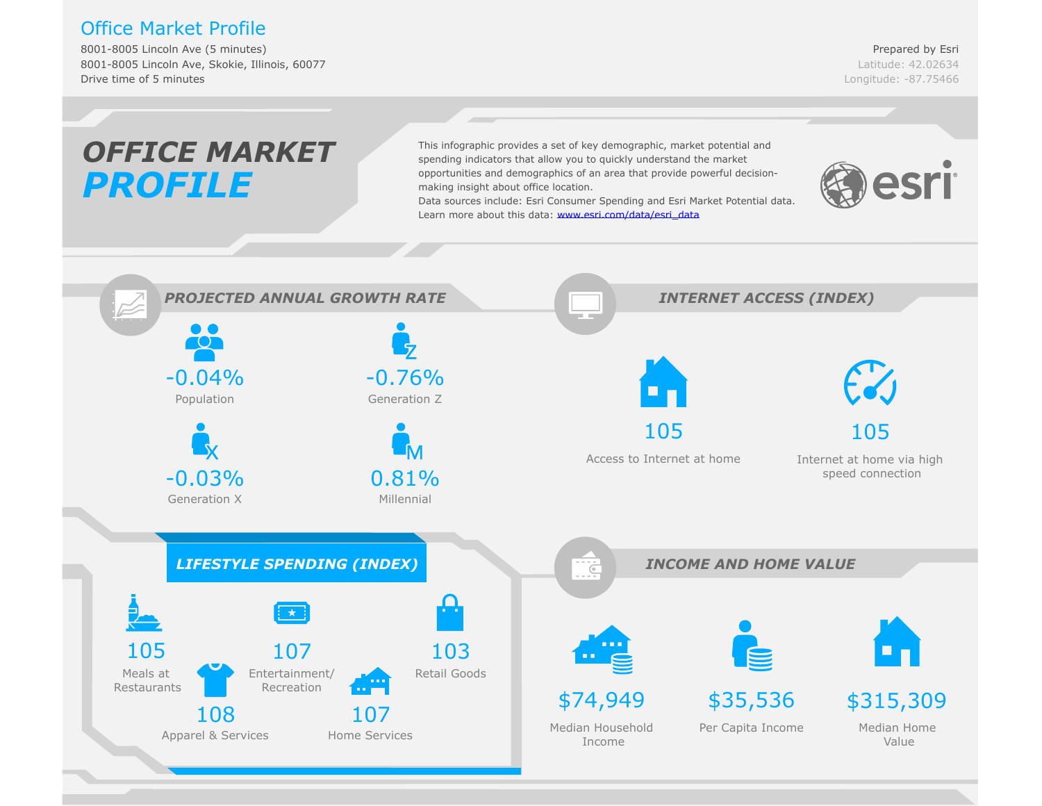## Office Market Profile

8001-8005 Lincoln Ave (5 minutes) 8001-8005 Lincoln Ave, Skokie, Illinois, 60077 Drive time of 5 minutes

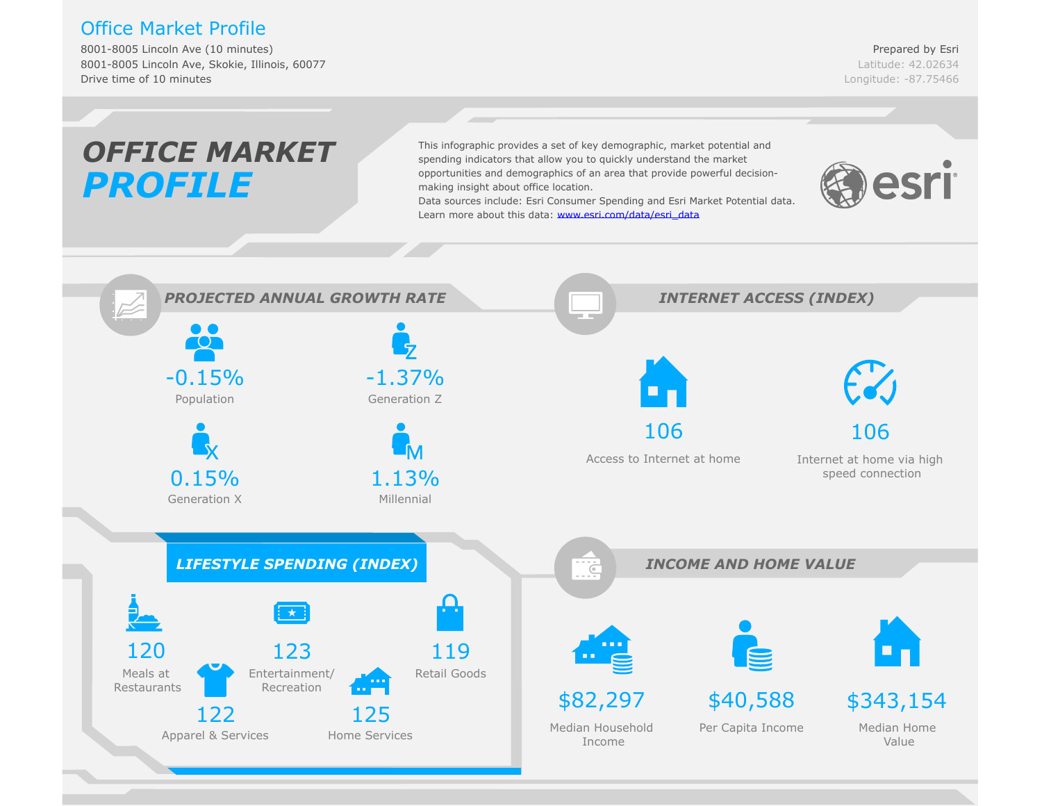## Office Market Profile

8001-8005 Lincoln Ave (10 minutes) 8001-8005 Lincoln Ave, Skokie, Illinois, 60077 Drive time of 10 minutes

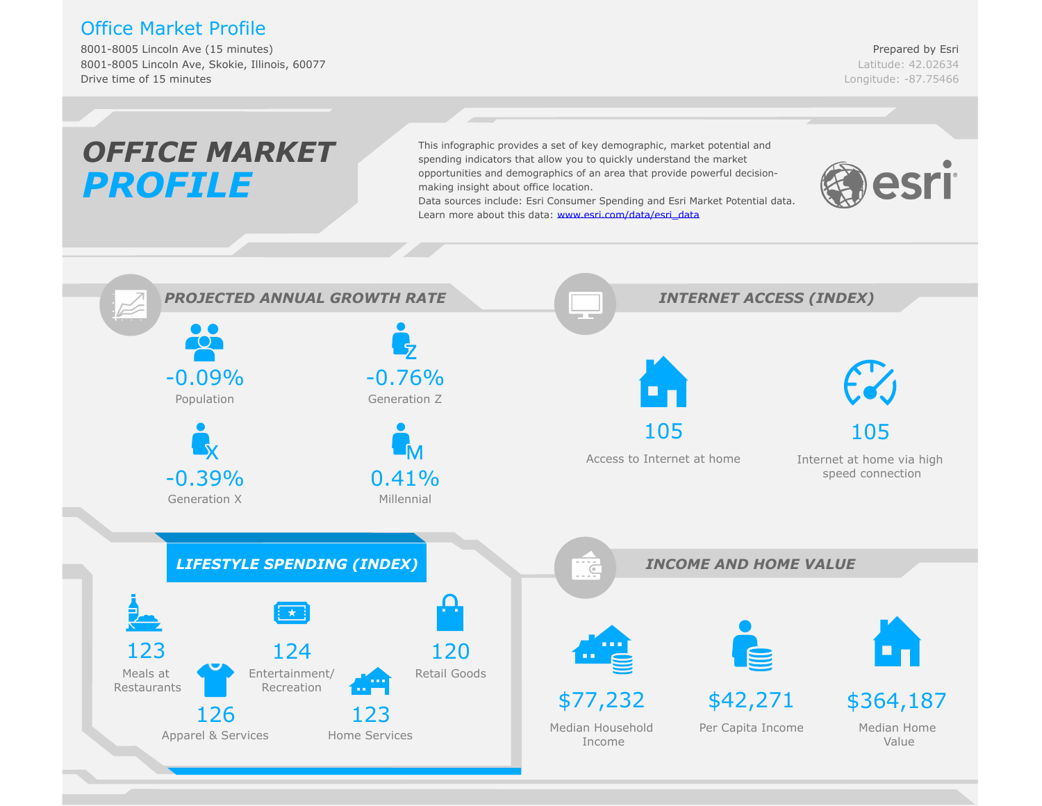## Office Market Profile

8001-8005 Lincoln Ave (15 minutes) 8001-8005 Lincoln Ave, Skokie, Illinois, 60077 Drive time of 15 minutes

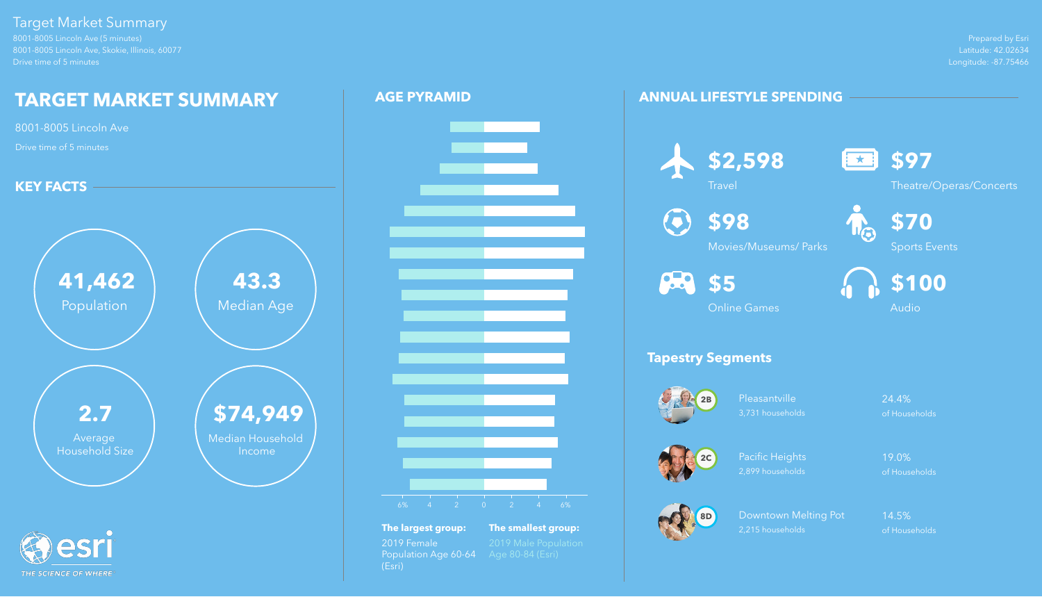Prepared by Esri Latitude: 42.02634 Longitude: -87.75466

8001-8005 Lincoln Ave (5 minutes) 8001-8005 Lincoln Ave, Skokie, Illinois, 60077 Drive time of 5 minutes

> Pleasantville 24.4% 3,731 households of Households

## Target Market Summary

Downtown Melting Pot 14.5% 2,215 households of Households

## **ANNUAL LIFESTYLE SPENDING**

## **Tapestry Segments**





Pacific Heights 19.0% 2,899 households of Households











Theatre/Operas/Concerts

**\$98**

Movies/Museums/ Parks

**\$70**





Online Games



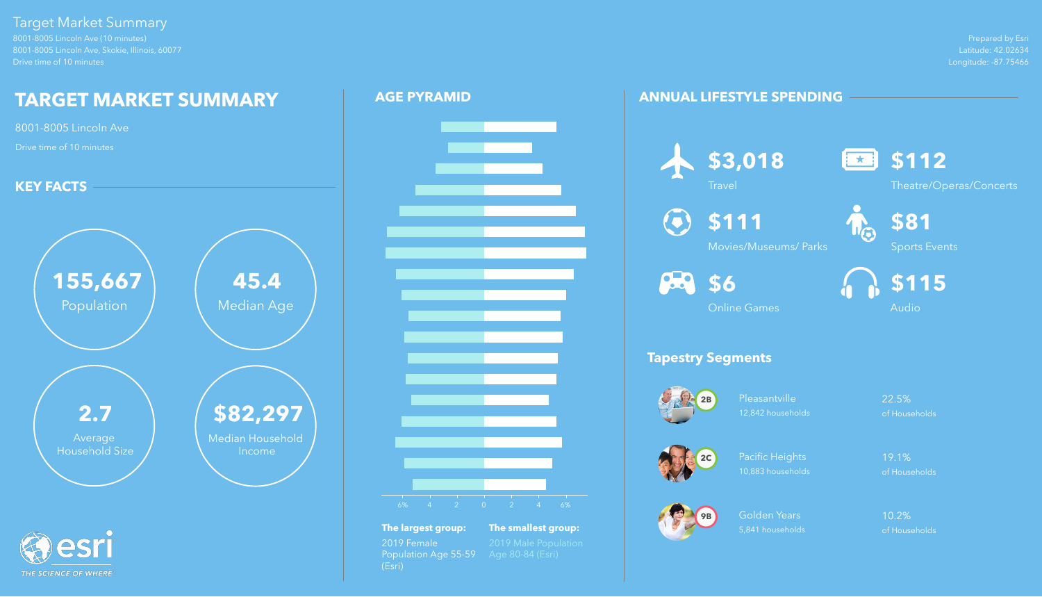Prepared by Esri Latitude: 42.02634 Longitude: -87.75466



8001-8005 Lincoln Ave (10 minutes) 8001-8005 Lincoln Ave, Skokie, Illinois, 60077 Drive time of 10 minutes

> Pleasantville 22.5% 12,842 households of Households

## Target Market Summary

THE SCIENCE OF WHERE

Golden Years 10.2% 5,841 households of Households

## **ANNUAL LIFESTYLE SPENDING**

## **Tapestry Segments**

**\$111**  $\left( \bullet \right)$ 





Pacific Heights 19.1% 10,883 households of Households







Theatre/Operas/Concerts



Movies/Museums/ Parks

**88** \$6





Online Games



## **AGE PYRAMID**





**The largest group: The smallest group:** 2019 Female 2019 Male Population<br>Population Age 55-59 Age 80-84 (Esri) Population Age 55-59 (Esri)